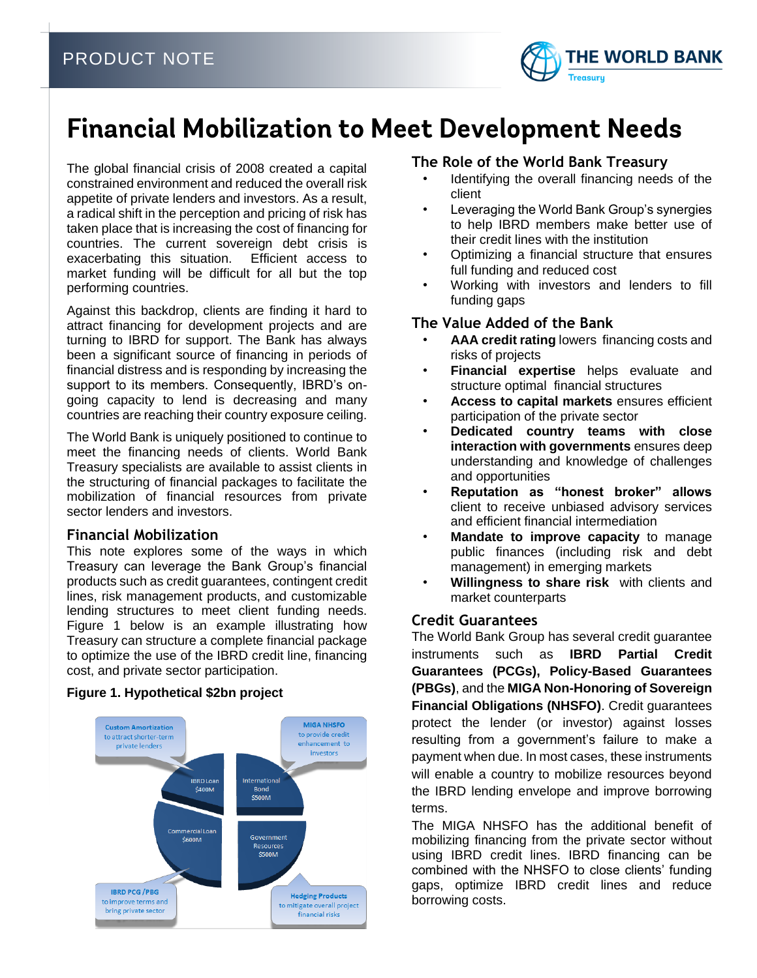

# **Financial Mobilization to Meet Development Needs**

The global financial crisis of 2008 created a capital constrained environment and reduced the overall risk appetite of private lenders and investors. As a result, a radical shift in the perception and pricing of risk has taken place that is increasing the cost of financing for countries. The current sovereign debt crisis is exacerbating this situation. Efficient access to market funding will be difficult for all but the top performing countries.

Against this backdrop, clients are finding it hard to attract financing for development projects and are turning to IBRD for support. The Bank has always been a significant source of financing in periods of financial distress and is responding by increasing the support to its members. Consequently, IBRD's ongoing capacity to lend is decreasing and many countries are reaching their country exposure ceiling.

The World Bank is uniquely positioned to continue to meet the financing needs of clients. World Bank Treasury specialists are available to assist clients in the structuring of financial packages to facilitate the mobilization of financial resources from private sector lenders and investors.

## **Financial Mobilization**

This note explores some of the ways in which Treasury can leverage the Bank Group's financial products such as credit guarantees, contingent credit lines, risk management products, and customizable lending structures to meet client funding needs. Figure 1 below is an example illustrating how Treasury can structure a complete financial package to optimize the use of the IBRD credit line, financing cost, and private sector participation.

## **Figure 1. Hypothetical \$2bn project**



# **The Role of the World Bank Treasury**

- Identifying the overall financing needs of the client
- Leveraging the World Bank Group's synergies to help IBRD members make better use of their credit lines with the institution
- Optimizing a financial structure that ensures full funding and reduced cost
- Working with investors and lenders to fill funding gaps

# **The Value Added of the Bank**

- **AAA credit rating** lowers financing costs and risks of projects
- **Financial expertise** helps evaluate and structure optimal financial structures
- **Access to capital markets** ensures efficient participation of the private sector
- **Dedicated country teams with close interaction with governments** ensures deep understanding and knowledge of challenges and opportunities
- **Reputation as "honest broker" allows**  client to receive unbiased advisory services and efficient financial intermediation
- **Mandate to improve capacity** to manage public finances (including risk and debt management) in emerging markets
- **Willingness to share risk** with clients and market counterparts

# **Credit Guarantees**

The World Bank Group has several credit guarantee instruments such as **IBRD Partial Credit Guarantees (PCGs), Policy-Based Guarantees (PBGs)**, and the **MIGA Non-Honoring of Sovereign Financial Obligations (NHSFO)**. Credit guarantees protect the lender (or investor) against losses resulting from a government's failure to make a payment when due. In most cases, these instruments will enable a country to mobilize resources beyond the IBRD lending envelope and improve borrowing terms.

The MIGA NHSFO has the additional benefit of mobilizing financing from the private sector without using IBRD credit lines. IBRD financing can be combined with the NHSFO to close clients' funding gaps, optimize IBRD credit lines and reduce borrowing costs.